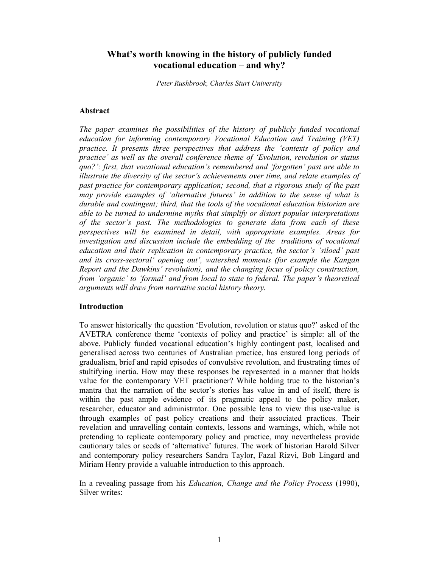# **What's worth knowing in the history of publicly funded vocational education – and why?**

*Peter Rushbrook, Charles Sturt University* 

### **Abstract**

*The paper examines the possibilities of the history of publicly funded vocational education for informing contemporary Vocational Education and Training (VET) practice. It presents three perspectives that address the 'contexts of policy and practice' as well as the overall conference theme of 'Evolution, revolution or status quo?': first, that vocational education's remembered and 'forgotten' past are able to illustrate the diversity of the sector's achievements over time, and relate examples of past practice for contemporary application; second, that a rigorous study of the past may provide examples of 'alternative futures' in addition to the sense of what is durable and contingent; third, that the tools of the vocational education historian are able to be turned to undermine myths that simplify or distort popular interpretations of the sector's past. The methodologies to generate data from each of these perspectives will be examined in detail, with appropriate examples. Areas for investigation and discussion include the embedding of the traditions of vocational education and their replication in contemporary practice, the sector's 'siloed' past and its cross-sectoral' opening out', watershed moments (for example the Kangan Report and the Dawkins' revolution), and the changing focus of policy construction, from 'organic' to 'formal' and from local to state to federal. The paper's theoretical arguments will draw from narrative social history theory.* 

#### **Introduction**

To answer historically the question 'Evolution, revolution or status quo?' asked of the AVETRA conference theme 'contexts of policy and practice' is simple: all of the above. Publicly funded vocational education's highly contingent past, localised and generalised across two centuries of Australian practice, has ensured long periods of gradualism, brief and rapid episodes of convulsive revolution, and frustrating times of stultifying inertia. How may these responses be represented in a manner that holds value for the contemporary VET practitioner? While holding true to the historian's mantra that the narration of the sector's stories has value in and of itself, there is within the past ample evidence of its pragmatic appeal to the policy maker, researcher, educator and administrator. One possible lens to view this use-value is through examples of past policy creations and their associated practices. Their revelation and unravelling contain contexts, lessons and warnings, which, while not pretending to replicate contemporary policy and practice, may nevertheless provide cautionary tales or seeds of 'alternative' futures. The work of historian Harold Silver and contemporary policy researchers Sandra Taylor, Fazal Rizvi, Bob Lingard and Miriam Henry provide a valuable introduction to this approach.

In a revealing passage from his *Education, Change and the Policy Process* (1990), Silver writes: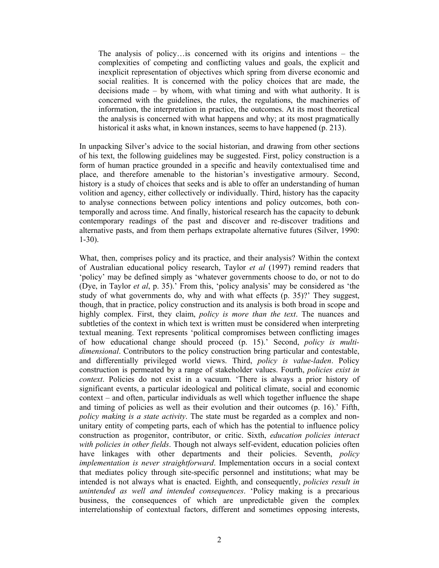The analysis of policy…is concerned with its origins and intentions – the complexities of competing and conflicting values and goals, the explicit and inexplicit representation of objectives which spring from diverse economic and social realities. It is concerned with the policy choices that are made, the decisions made – by whom, with what timing and with what authority. It is concerned with the guidelines, the rules, the regulations, the machineries of information, the interpretation in practice, the outcomes. At its most theoretical the analysis is concerned with what happens and why; at its most pragmatically historical it asks what, in known instances, seems to have happened (p. 213).

In unpacking Silver's advice to the social historian, and drawing from other sections of his text, the following guidelines may be suggested. First, policy construction is a form of human practice grounded in a specific and heavily contextualised time and place, and therefore amenable to the historian's investigative armoury. Second, history is a study of choices that seeks and is able to offer an understanding of human volition and agency, either collectively or individually. Third, history has the capacity to analyse connections between policy intentions and policy outcomes, both contemporally and across time. And finally, historical research has the capacity to debunk contemporary readings of the past and discover and re-discover traditions and alternative pasts, and from them perhaps extrapolate alternative futures (Silver, 1990: 1-30).

What, then, comprises policy and its practice, and their analysis? Within the context of Australian educational policy research, Taylor *et al* (1997) remind readers that 'policy' may be defined simply as 'whatever governments choose to do, or not to do (Dye, in Taylor *et al*, p. 35).' From this, 'policy analysis' may be considered as 'the study of what governments do, why and with what effects (p. 35)?' They suggest, though, that in practice, policy construction and its analysis is both broad in scope and highly complex. First, they claim, *policy is more than the text*. The nuances and subtleties of the context in which text is written must be considered when interpreting textual meaning. Text represents 'political compromises between conflicting images of how educational change should proceed (p. 15).' Second, *policy is multidimensional*. Contributors to the policy construction bring particular and contestable, and differentially privileged world views. Third, *policy is value-laden*. Policy construction is permeated by a range of stakeholder values. Fourth, *policies exist in context*. Policies do not exist in a vacuum. 'There is always a prior history of significant events, a particular ideological and political climate, social and economic context – and often, particular individuals as well which together influence the shape and timing of policies as well as their evolution and their outcomes (p. 16).' Fifth, *policy making is a state activity*. The state must be regarded as a complex and nonunitary entity of competing parts, each of which has the potential to influence policy construction as progenitor, contributor, or critic. Sixth, *education policies interact with policies in other fields*. Though not always self-evident, education policies often have linkages with other departments and their policies. Seventh, *policy implementation is never straightforward*. Implementation occurs in a social context that mediates policy through site-specific personnel and institutions; what may be intended is not always what is enacted. Eighth, and consequently, *policies result in unintended as well and intended consequences*. 'Policy making is a precarious business, the consequences of which are unpredictable given the complex interrelationship of contextual factors, different and sometimes opposing interests,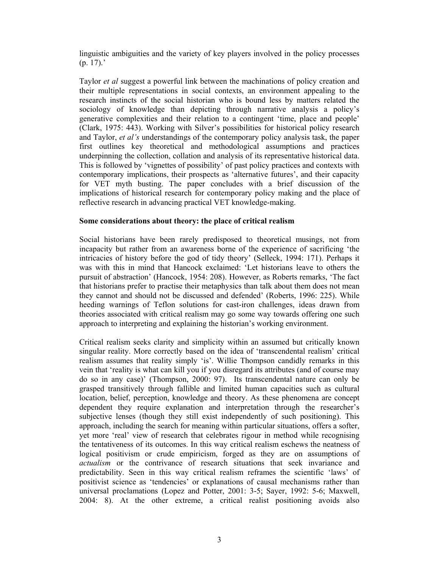linguistic ambiguities and the variety of key players involved in the policy processes (p. 17).'

Taylor *et al* suggest a powerful link between the machinations of policy creation and their multiple representations in social contexts, an environment appealing to the research instincts of the social historian who is bound less by matters related the sociology of knowledge than depicting through narrative analysis a policy's generative complexities and their relation to a contingent 'time, place and people' (Clark, 1975: 443). Working with Silver's possibilities for historical policy research and Taylor, *et al's* understandings of the contemporary policy analysis task, the paper first outlines key theoretical and methodological assumptions and practices underpinning the collection, collation and analysis of its representative historical data. This is followed by 'vignettes of possibility' of past policy practices and contexts with contemporary implications, their prospects as 'alternative futures', and their capacity for VET myth busting. The paper concludes with a brief discussion of the implications of historical research for contemporary policy making and the place of reflective research in advancing practical VET knowledge-making.

## **Some considerations about theory: the place of critical realism**

Social historians have been rarely predisposed to theoretical musings, not from incapacity but rather from an awareness borne of the experience of sacrificing 'the intricacies of history before the god of tidy theory' (Selleck, 1994: 171). Perhaps it was with this in mind that Hancock exclaimed: 'Let historians leave to others the pursuit of abstraction' (Hancock, 1954: 208). However, as Roberts remarks, 'The fact that historians prefer to practise their metaphysics than talk about them does not mean they cannot and should not be discussed and defended' (Roberts, 1996: 225). While heeding warnings of Teflon solutions for cast-iron challenges, ideas drawn from theories associated with critical realism may go some way towards offering one such approach to interpreting and explaining the historian's working environment.

Critical realism seeks clarity and simplicity within an assumed but critically known singular reality. More correctly based on the idea of 'transcendental realism' critical realism assumes that reality simply 'is'. Willie Thompson candidly remarks in this vein that 'reality is what can kill you if you disregard its attributes (and of course may do so in any case)' (Thompson, 2000: 97). Its transcendental nature can only be grasped transitively through fallible and limited human capacities such as cultural location, belief, perception, knowledge and theory. As these phenomena are concept dependent they require explanation and interpretation through the researcher's subjective lenses (though they still exist independently of such positioning). This approach, including the search for meaning within particular situations, offers a softer, yet more 'real' view of research that celebrates rigour in method while recognising the tentativeness of its outcomes. In this way critical realism eschews the neatness of logical positivism or crude empiricism, forged as they are on assumptions of *actualism* or the contrivance of research situations that seek invariance and predictability. Seen in this way critical realism reframes the scientific 'laws' of positivist science as 'tendencies' or explanations of causal mechanisms rather than universal proclamations (Lopez and Potter, 2001: 3-5; Sayer, 1992: 5-6; Maxwell, 2004: 8). At the other extreme, a critical realist positioning avoids also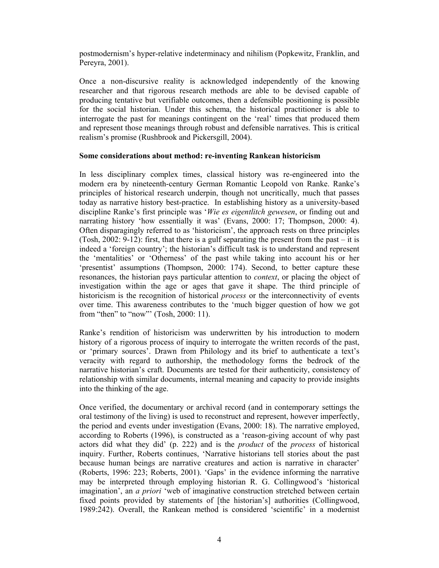postmodernism's hyper-relative indeterminacy and nihilism (Popkewitz, Franklin, and Pereyra, 2001).

Once a non-discursive reality is acknowledged independently of the knowing researcher and that rigorous research methods are able to be devised capable of producing tentative but verifiable outcomes, then a defensible positioning is possible for the social historian. Under this schema, the historical practitioner is able to interrogate the past for meanings contingent on the 'real' times that produced them and represent those meanings through robust and defensible narratives. This is critical realism's promise (Rushbrook and Pickersgill, 2004).

## **Some considerations about method: re-inventing Rankean historicism**

In less disciplinary complex times, classical history was re-engineered into the modern era by nineteenth-century German Romantic Leopold von Ranke. Ranke's principles of historical research underpin, though not uncritically, much that passes today as narrative history best-practice. In establishing history as a university-based discipline Ranke's first principle was '*Wie es eigentlitch gewesen*, or finding out and narrating history 'how essentially it was' (Evans, 2000: 17; Thompson, 2000: 4). Often disparagingly referred to as 'historicism', the approach rests on three principles (Tosh, 2002: 9-12): first, that there is a gulf separating the present from the past – it is indeed a 'foreign country'; the historian's difficult task is to understand and represent the 'mentalities' or 'Otherness' of the past while taking into account his or her 'presentist' assumptions (Thompson, 2000: 174). Second, to better capture these resonances, the historian pays particular attention to *context*, or placing the object of investigation within the age or ages that gave it shape. The third principle of historicism is the recognition of historical *process* or the interconnectivity of events over time. This awareness contributes to the 'much bigger question of how we got from "then" to "now"' (Tosh, 2000: 11).

Ranke's rendition of historicism was underwritten by his introduction to modern history of a rigorous process of inquiry to interrogate the written records of the past, or 'primary sources'. Drawn from Philology and its brief to authenticate a text's veracity with regard to authorship, the methodology forms the bedrock of the narrative historian's craft. Documents are tested for their authenticity, consistency of relationship with similar documents, internal meaning and capacity to provide insights into the thinking of the age.

Once verified, the documentary or archival record (and in contemporary settings the oral testimony of the living) is used to reconstruct and represent, however imperfectly, the period and events under investigation (Evans, 2000: 18). The narrative employed, according to Roberts (1996), is constructed as a 'reason-giving account of why past actors did what they did' (p. 222) and is the *product* of the *process* of historical inquiry. Further, Roberts continues, 'Narrative historians tell stories about the past because human beings are narrative creatures and action is narrative in character' (Roberts, 1996: 223; Roberts, 2001). 'Gaps' in the evidence informing the narrative may be interpreted through employing historian R. G. Collingwood's 'historical imagination', an *a priori* 'web of imaginative construction stretched between certain fixed points provided by statements of [the historian's] authorities (Collingwood, 1989:242). Overall, the Rankean method is considered 'scientific' in a modernist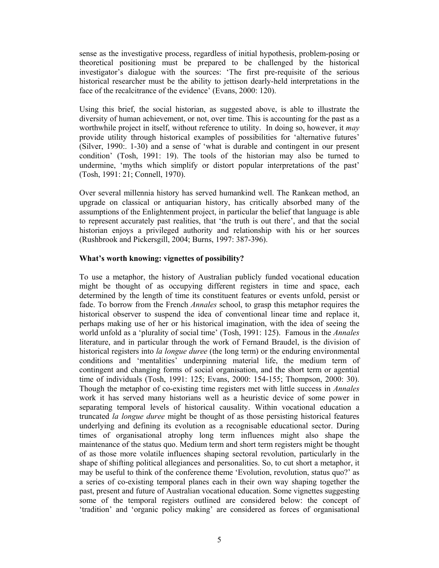sense as the investigative process, regardless of initial hypothesis, problem-posing or theoretical positioning must be prepared to be challenged by the historical investigator's dialogue with the sources: 'The first pre-requisite of the serious historical researcher must be the ability to jettison dearly-held interpretations in the face of the recalcitrance of the evidence' (Evans, 2000: 120).

Using this brief, the social historian, as suggested above, is able to illustrate the diversity of human achievement, or not, over time. This is accounting for the past as a worthwhile project in itself, without reference to utility. In doing so, however, it *may* provide utility through historical examples of possibilities for 'alternative futures' (Silver, 1990:. 1-30) and a sense of 'what is durable and contingent in our present condition' (Tosh, 1991: 19). The tools of the historian may also be turned to undermine, 'myths which simplify or distort popular interpretations of the past' (Tosh, 1991: 21; Connell, 1970).

Over several millennia history has served humankind well. The Rankean method, an upgrade on classical or antiquarian history, has critically absorbed many of the assumptions of the Enlightenment project, in particular the belief that language is able to represent accurately past realities, that 'the truth is out there', and that the social historian enjoys a privileged authority and relationship with his or her sources (Rushbrook and Pickersgill, 2004; Burns, 1997: 387-396).

## **What's worth knowing: vignettes of possibility?**

To use a metaphor, the history of Australian publicly funded vocational education might be thought of as occupying different registers in time and space, each determined by the length of time its constituent features or events unfold, persist or fade. To borrow from the French *Annales* school, to grasp this metaphor requires the historical observer to suspend the idea of conventional linear time and replace it, perhaps making use of her or his historical imagination, with the idea of seeing the world unfold as a 'plurality of social time' (Tosh, 1991: 125). Famous in the *Annales*  literature, and in particular through the work of Fernand Braudel, is the division of historical registers into *la longue duree* (the long term) or the enduring environmental conditions and 'mentalities' underpinning material life, the medium term of contingent and changing forms of social organisation, and the short term or agential time of individuals (Tosh, 1991: 125; Evans, 2000: 154-155; Thompson, 2000: 30). Though the metaphor of co-existing time registers met with little success in *Annales*  work it has served many historians well as a heuristic device of some power in separating temporal levels of historical causality. Within vocational education a truncated *la longue duree* might be thought of as those persisting historical features underlying and defining its evolution as a recognisable educational sector. During times of organisational atrophy long term influences might also shape the maintenance of the status quo. Medium term and short term registers might be thought of as those more volatile influences shaping sectoral revolution, particularly in the shape of shifting political allegiances and personalities. So, to cut short a metaphor, it may be useful to think of the conference theme 'Evolution, revolution, status quo?' as a series of co-existing temporal planes each in their own way shaping together the past, present and future of Australian vocational education. Some vignettes suggesting some of the temporal registers outlined are considered below: the concept of 'tradition' and 'organic policy making' are considered as forces of organisational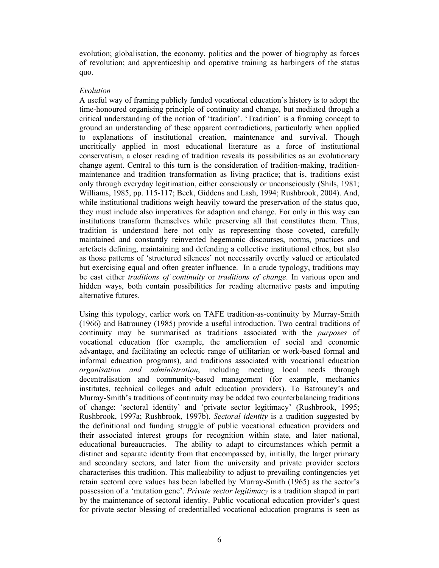evolution; globalisation, the economy, politics and the power of biography as forces of revolution; and apprenticeship and operative training as harbingers of the status quo.

## *Evolution*

A useful way of framing publicly funded vocational education's history is to adopt the time-honoured organising principle of continuity and change, but mediated through a critical understanding of the notion of 'tradition'. 'Tradition' is a framing concept to ground an understanding of these apparent contradictions, particularly when applied to explanations of institutional creation, maintenance and survival. Though uncritically applied in most educational literature as a force of institutional conservatism, a closer reading of tradition reveals its possibilities as an evolutionary change agent. Central to this turn is the consideration of tradition-making, traditionmaintenance and tradition transformation as living practice; that is, traditions exist only through everyday legitimation, either consciously or unconsciously (Shils, 1981; Williams, 1985, pp. 115-117; Beck, Giddens and Lash, 1994; Rushbrook, 2004). And, while institutional traditions weigh heavily toward the preservation of the status quo, they must include also imperatives for adaption and change. For only in this way can institutions transform themselves while preserving all that constitutes them. Thus, tradition is understood here not only as representing those coveted, carefully maintained and constantly reinvented hegemonic discourses, norms, practices and artefacts defining, maintaining and defending a collective institutional ethos, but also as those patterns of 'structured silences' not necessarily overtly valued or articulated but exercising equal and often greater influence. In a crude typology, traditions may be cast either *traditions of continuity* or *traditions of change*. In various open and hidden ways, both contain possibilities for reading alternative pasts and imputing alternative futures.

Using this typology, earlier work on TAFE tradition-as-continuity by Murray-Smith (1966) and Batrouney (1985) provide a useful introduction. Two central traditions of continuity may be summarised as traditions associated with the *purposes* of vocational education (for example, the amelioration of social and economic advantage, and facilitating an eclectic range of utilitarian or work-based formal and informal education programs), and traditions associated with vocational education *organisation and administration*, including meeting local needs through decentralisation and community-based management (for example, mechanics institutes, technical colleges and adult education providers). To Batrouney's and Murray-Smith's traditions of continuity may be added two counterbalancing traditions of change: 'sectoral identity' and 'private sector legitimacy' (Rushbrook, 1995; Rushbrook, 1997a; Rushbrook, 1997b). *Sectoral identity* is a tradition suggested by the definitional and funding struggle of public vocational education providers and their associated interest groups for recognition within state, and later national, educational bureaucracies. The ability to adapt to circumstances which permit a distinct and separate identity from that encompassed by, initially, the larger primary and secondary sectors, and later from the university and private provider sectors characterises this tradition. This malleability to adjust to prevailing contingencies yet retain sectoral core values has been labelled by Murray-Smith (1965) as the sector's possession of a 'mutation gene'. *Private sector legitimacy* is a tradition shaped in part by the maintenance of sectoral identity. Public vocational education provider's quest for private sector blessing of credentialled vocational education programs is seen as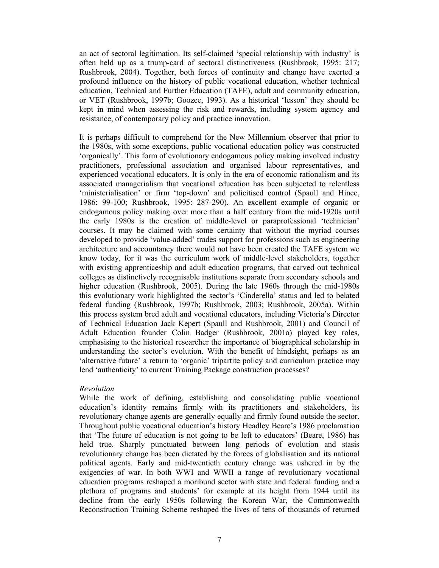an act of sectoral legitimation. Its self-claimed 'special relationship with industry' is often held up as a trump-card of sectoral distinctiveness (Rushbrook, 1995: 217; Rushbrook, 2004). Together, both forces of continuity and change have exerted a profound influence on the history of public vocational education, whether technical education, Technical and Further Education (TAFE), adult and community education, or VET (Rushbrook, 1997b; Goozee, 1993). As a historical 'lesson' they should be kept in mind when assessing the risk and rewards, including system agency and resistance, of contemporary policy and practice innovation.

It is perhaps difficult to comprehend for the New Millennium observer that prior to the 1980s, with some exceptions, public vocational education policy was constructed 'organically'. This form of evolutionary endogamous policy making involved industry practitioners, professional association and organised labour representatives, and experienced vocational educators. It is only in the era of economic rationalism and its associated managerialism that vocational education has been subjected to relentless 'ministerialisation' or firm 'top-down' and policitised control (Spaull and Hince, 1986: 99-100; Rushbrook, 1995: 287-290). An excellent example of organic or endogamous policy making over more than a half century from the mid-1920s until the early 1980s is the creation of middle-level or paraprofessional 'technician' courses. It may be claimed with some certainty that without the myriad courses developed to provide 'value-added' trades support for professions such as engineering architecture and accountancy there would not have been created the TAFE system we know today, for it was the curriculum work of middle-level stakeholders, together with existing apprenticeship and adult education programs, that carved out technical colleges as distinctively recognisable institutions separate from secondary schools and higher education (Rushbrook, 2005). During the late 1960s through the mid-1980s this evolutionary work highlighted the sector's 'Cinderella' status and led to belated federal funding (Rushbrook, 1997b; Rushbrook, 2003; Rushbrook, 2005a). Within this process system bred adult and vocational educators, including Victoria's Director of Technical Education Jack Kepert (Spaull and Rushbrook, 2001) and Council of Adult Education founder Colin Badger (Rushbrook, 2001a) played key roles, emphasising to the historical researcher the importance of biographical scholarship in understanding the sector's evolution. With the benefit of hindsight, perhaps as an 'alternative future' a return to 'organic' tripartite policy and curriculum practice may lend 'authenticity' to current Training Package construction processes?

## *Revolution*

While the work of defining, establishing and consolidating public vocational education's identity remains firmly with its practitioners and stakeholders, its revolutionary change agents are generally equally and firmly found outside the sector. Throughout public vocational education's history Headley Beare's 1986 proclamation that 'The future of education is not going to be left to educators' (Beare, 1986) has held true. Sharply punctuated between long periods of evolution and stasis revolutionary change has been dictated by the forces of globalisation and its national political agents. Early and mid-twentieth century change was ushered in by the exigencies of war. In both WWI and WWII a range of revolutionary vocational education programs reshaped a moribund sector with state and federal funding and a plethora of programs and students' for example at its height from 1944 until its decline from the early 1950s following the Korean War, the Commonwealth Reconstruction Training Scheme reshaped the lives of tens of thousands of returned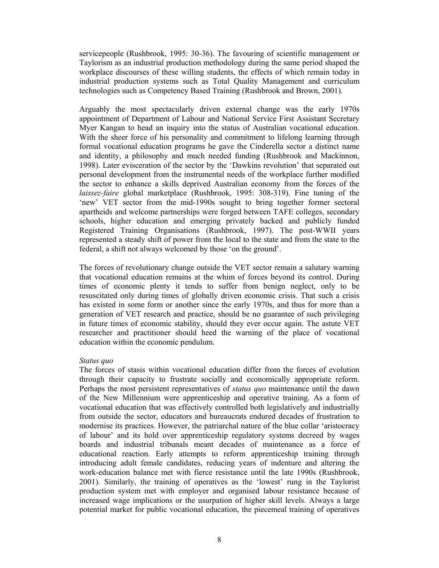servicepeople (Rushbrook, 1995: 30-36). The favouring of scientific management or Taylorism as an industrial production methodology during the same period shaped the workplace discourses of these willing students, the effects of which remain today in industrial production systems such as Total Quality Management and curriculum technologies such as Competency Based Training (Rushbrook and Brown, 2001).

Arguably the most spectacularly driven external change was the early 1970s appointment of Department of Labour and National Service First Assistant Secretary Myer Kangan to head an inquiry into the status of Australian vocational education. With the sheer force of his personality and commitment to lifelong learning through formal vocational education programs he gave the Cinderella sector a distinct name and identity, a philosophy and much needed funding (Rushbrook and Mackinnon, 1998). Later evisceration of the sector by the 'Dawkins revolution' that separated out personal development from the instrumental needs of the workplace further modified the sector to enhance a skills deprived Australian economy from the forces of the *laissez-faire* global marketplace (Rushbrook, 1995: 308-319). Fine tuning of the 'new' VET sector from the mid-1990s sought to bring together former sectoral apartheids and welcome partnerships were forged between TAFE colleges, secondary schools, higher education and emerging privately backed and publicly funded Registered Training Organisations (Rushbrook, 1997). The post-WWII years represented a steady shift of power from the local to the state and from the state to the federal, a shift not always welcomed by those 'on the ground'.

The forces of revolutionary change outside the VET sector remain a salutary warning that vocational education remains at the whim of forces beyond its control. During times of economic plenty it tends to suffer from benign neglect, only to be resuscitated only during times of globally driven economic crisis. That such a crisis has existed in some form or another since the early 1970s, and thus for more than a generation of VET research and practice, should be no guarantee of such privileging in future times of economic stability, should they ever occur again. The astute VET researcher and practitioner should heed the warning of the place of vocational education within the economic pendulum.

#### *Status quo*

The forces of stasis within vocational education differ from the forces of evolution through their capacity to frustrate socially and economically appropriate reform. Perhaps the most persistent representatives of *status quo* maintenance until the dawn of the New Millennium were apprenticeship and operative training. As a form of vocational education that was effectively controlled both legislatively and industrially from outside the sector, educators and bureaucrats endured decades of frustration to modernise its practices. However, the patriarchal nature of the blue collar 'aristocracy of labour' and its hold over apprenticeship regulatory systems decreed by wages boards and industrial tribunals meant decades of maintenance as a force of educational reaction. Early attempts to reform apprenticeship training through introducing adult female candidates, reducing years of indenture and altering the work-education balance met with fierce resistance until the late 1990s (Rushbrook, 2001). Similarly, the training of operatives as the 'lowest' rung in the Taylorist production system met with employer and organised labour resistance because of increased wage implications or the usurpation of higher skill levels. Always a large potential market for public vocational education, the piecemeal training of operatives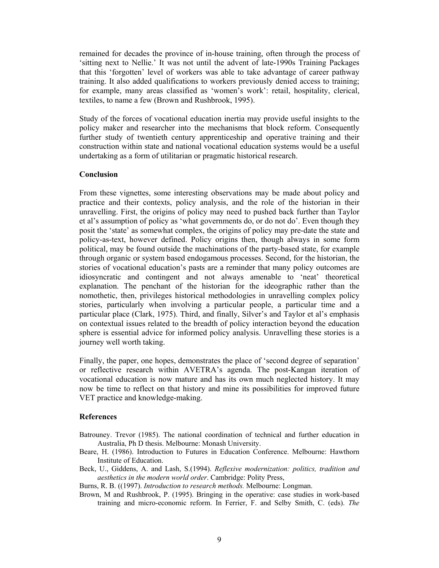remained for decades the province of in-house training, often through the process of 'sitting next to Nellie.' It was not until the advent of late-1990s Training Packages that this 'forgotten' level of workers was able to take advantage of career pathway training. It also added qualifications to workers previously denied access to training; for example, many areas classified as 'women's work': retail, hospitality, clerical, textiles, to name a few (Brown and Rushbrook, 1995).

Study of the forces of vocational education inertia may provide useful insights to the policy maker and researcher into the mechanisms that block reform. Consequently further study of twentieth century apprenticeship and operative training and their construction within state and national vocational education systems would be a useful undertaking as a form of utilitarian or pragmatic historical research.

### **Conclusion**

From these vignettes, some interesting observations may be made about policy and practice and their contexts, policy analysis, and the role of the historian in their unravelling. First, the origins of policy may need to pushed back further than Taylor et al's assumption of policy as 'what governments do, or do not do'. Even though they posit the 'state' as somewhat complex, the origins of policy may pre-date the state and policy-as-text, however defined. Policy origins then, though always in some form political, may be found outside the machinations of the party-based state, for example through organic or system based endogamous processes. Second, for the historian, the stories of vocational education's pasts are a reminder that many policy outcomes are idiosyncratic and contingent and not always amenable to 'neat' theoretical explanation. The penchant of the historian for the ideographic rather than the nomothetic, then, privileges historical methodologies in unravelling complex policy stories, particularly when involving a particular people, a particular time and a particular place (Clark, 1975). Third, and finally, Silver's and Taylor et al's emphasis on contextual issues related to the breadth of policy interaction beyond the education sphere is essential advice for informed policy analysis. Unravelling these stories is a journey well worth taking.

Finally, the paper, one hopes, demonstrates the place of 'second degree of separation' or reflective research within AVETRA's agenda. The post-Kangan iteration of vocational education is now mature and has its own much neglected history. It may now be time to reflect on that history and mine its possibilities for improved future VET practice and knowledge-making.

#### **References**

- Batrouney. Trevor (1985). The national coordination of technical and further education in Australia, Ph D thesis. Melbourne: Monash University.
- Beare, H. (1986). Introduction to Futures in Education Conference. Melbourne: Hawthorn Institute of Education.
- Beck, U., Giddens, A. and Lash, S.(1994). *Reflexive modernization: politics, tradition and aesthetics in the modern world order*. Cambridge: Polity Press,

Burns, R. B. ((1997). *Introduction to research methods.* Melbourne: Longman.

Brown, M and Rushbrook, P. (1995). Bringing in the operative: case studies in work-based training and micro-economic reform. In Ferrier, F. and Selby Smith, C. (eds). *The*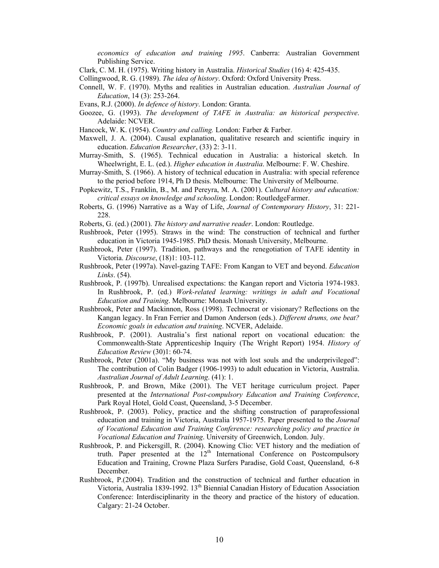*economics of education and training 1995*. Canberra: Australian Government Publishing Service.

- Clark, C. M. H. (1975). Writing history in Australia. *Historical Studies* (16) 4: 425-435.
- Collingwood, R. G. (1989). *The idea of history*. Oxford: Oxford University Press.
- Connell, W. F. (1970). Myths and realities in Australian education. *Australian Journal of Education*, 14 (3): 253-264.
- Evans, R.J. (2000). *In defence of history*. London: Granta.
- Goozee, G. (1993). *The development of TAFE in Australia: an historical perspective*. Adelaide: NCVER.
- Hancock, W. K. (1954). *Country and calling*. London: Farber & Farber.
- Maxwell, J. A. (2004). Causal explanation, qualitative research and scientific inquiry in education. *Education Researcher*, (33) 2: 3-11.
- Murray-Smith, S. (1965). Technical education in Australia: a historical sketch. In Wheelwright, E. L. (ed.). *Higher education in Australia*. Melbourne: F. W. Cheshire.
- Murray-Smith, S. (1966). A history of technical education in Australia: with special reference to the period before 1914, Ph D thesis. Melbourne: The University of Melbourne.
- Popkewitz, T.S., Franklin, B., M. and Pereyra, M. A. (2001). *Cultural history and education: critical essays on knowledge and schooling*. London: RoutledgeFarmer.
- Roberts, G. (1996) Narrative as a Way of Life, *Journal of Contemporary History*, 31: 221- 228.
- Roberts, G. (ed.) (2001). *The history and narrative reader*. London: Routledge.
- Rushbrook, Peter (1995). Straws in the wind: The construction of technical and further education in Victoria 1945-1985. PhD thesis. Monash University, Melbourne.
- Rushbrook, Peter (1997). Tradition, pathways and the renegotiation of TAFE identity in Victoria. *Discourse*, (18)1: 103-112.
- Rushbrook, Peter (1997a). Navel-gazing TAFE: From Kangan to VET and beyond. *Education Links*. (54).
- Rushbrook, P. (1997b). Unrealised expectations: the Kangan report and Victoria 1974-1983. In Rushbrook, P. (ed.) *Work-related learning: writings in adult and Vocational Education and Training*. Melbourne: Monash University.
- Rushbrook, Peter and Mackinnon, Ross (1998). Technocrat or visionary? Reflections on the Kangan legacy. In Fran Ferrier and Damon Anderson (eds.). *Different drums, one beat? Economic goals in education and training*. NCVER, Adelaide.
- Rushbrook, P. (2001). Australia's first national report on vocational education: the Commonwealth-State Apprenticeship Inquiry (The Wright Report) 1954. *History of Education Review* (30)1: 60-74.
- Rushbrook, Peter (2001a). "My business was not with lost souls and the underprivileged": The contribution of Colin Badger (1906-1993) to adult education in Victoria, Australia. *Australian Journal of Adult Learning*. (41): 1.
- Rushbrook, P. and Brown, Mike (2001). The VET heritage curriculum project. Paper presented at the *International Post-compulsory Education and Training Conference*, Park Royal Hotel, Gold Coast, Queensland, 3-5 December.
- Rushbrook, P. (2003). Policy, practice and the shifting construction of paraprofessional education and training in Victoria, Australia 1957-1975. Paper presented to the *Journal of Vocational Education and Training Conference: researching policy and practice in Vocational Education and Training*. University of Greenwich, London. July.
- Rushbrook, P. and Pickersgill, R. (2004). Knowing Clio: VET history and the mediation of truth. Paper presented at the 12<sup>th</sup> International Conference on Postcompulsory Education and Training, Crowne Plaza Surfers Paradise, Gold Coast, Queensland, 6-8 December.
- Rushbrook, P.(2004). Tradition and the construction of technical and further education in Victoria, Australia 1839-1992.  $13<sup>th</sup>$  Biennial Canadian History of Education Association Conference: Interdisciplinarity in the theory and practice of the history of education. Calgary: 21-24 October.